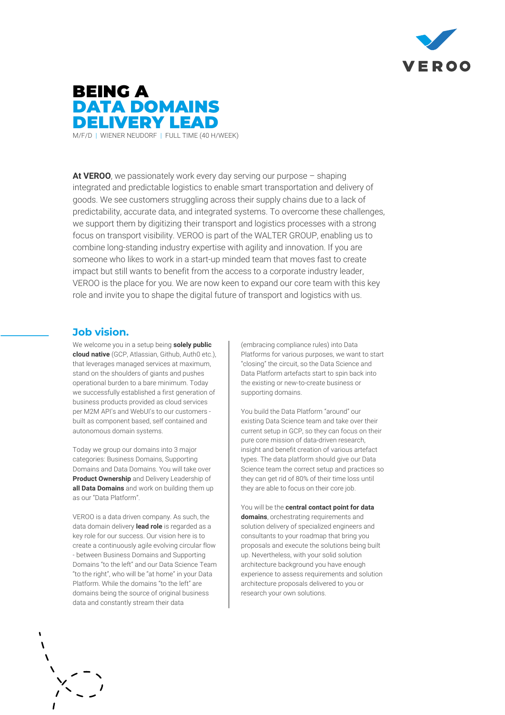



**At VEROO**, we passionately work every day serving our purpose – shaping integrated and predictable logistics to enable smart transportation and delivery of goods. We see customers struggling across their supply chains due to a lack of predictability, accurate data, and integrated systems. To overcome these challenges, we support them by digitizing their transport and logistics processes with a strong focus on transport visibility. VEROO is part of the WALTER GROUP, enabling us to combine long-standing industry expertise with agility and innovation. If you are someone who likes to work in a start-up minded team that moves fast to create impact but still wants to benefit from the access to a corporate industry leader, VEROO is the place for you. We are now keen to expand our core team with this key role and invite you to shape the digital future of transport and logistics with us.

## **Job vision.**

We welcome you in a setup being **solely public cloud native** (GCP, Atlassian, Github, Auth0 etc.), that leverages managed services at maximum, stand on the shoulders of giants and pushes operational burden to a bare minimum. Today we successfully established a first generation of business products provided as cloud services per M2M API's and WebUI's to our customers built as component based, self contained and autonomous domain systems.

Today we group our domains into 3 major categories: Business Domains, Supporting Domains and Data Domains. You will take over **Product Ownership** and Delivery Leadership of **all Data Domains** and work on building them up as our "Data Platform".

VEROO is a data driven company. As such, the data domain delivery **lead role** is regarded as a key role for our success. Our vision here is to create a continuously agile evolving circular flow - between Business Domains and Supporting Domains "to the left" and our Data Science Team "to the right", who will be "at home" in your Data Platform. While the domains "to the left" are domains being the source of original business data and constantly stream their data

(embracing compliance rules) into Data Platforms for various purposes, we want to start "closing" the circuit, so the Data Science and Data Platform artefacts start to spin back into the existing or new-to-create business or supporting domains.

You build the Data Platform "around" our existing Data Science team and take over their current setup in GCP, so they can focus on their pure core mission of data-driven research, insight and benefit creation of various artefact types. The data platform should give our Data Science team the correct setup and practices so they can get rid of 80% of their time loss until they are able to focus on their core job.

You will be the **central contact point for data domains**, orchestrating requirements and solution delivery of specialized engineers and consultants to your roadmap that bring you proposals and execute the solutions being built up. Nevertheless, with your solid solution architecture background you have enough experience to assess requirements and solution architecture proposals delivered to you or research your own solutions.